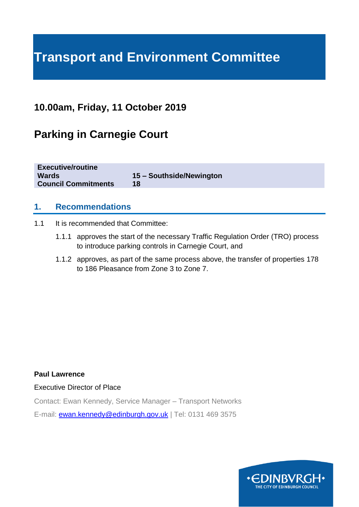# **Transport and Environment Committee**

## **10.00am, Friday, 11 October 2019**

## **Parking in Carnegie Court**

**Executive/routine Wards 15 – Southside/Newington Council Commitments 18**

### **1. Recommendations**

- 1.1 It is recommended that Committee:
	- 1.1.1 approves the start of the necessary Traffic Regulation Order (TRO) process to introduce parking controls in Carnegie Court, and
	- 1.1.2 approves, as part of the same process above, the transfer of properties 178 to 186 Pleasance from Zone 3 to Zone 7.

**Paul Lawrence**

Executive Director of Place

Contact: Ewan Kennedy, Service Manager – Transport Networks

E-mail: [ewan.kennedy@edinburgh.gov.uk](mailto:ewan.kennedy@edinburgh.gov.uk) | Tel: 0131 469 3575

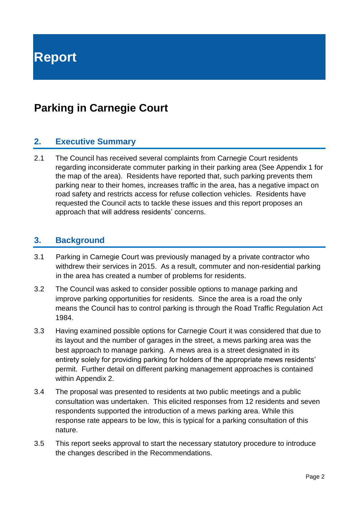## **Parking in Carnegie Court**

## **2. Executive Summary**

2.1 The Council has received several complaints from Carnegie Court residents regarding inconsiderate commuter parking in their parking area (See Appendix 1 for the map of the area). Residents have reported that, such parking prevents them parking near to their homes, increases traffic in the area, has a negative impact on road safety and restricts access for refuse collection vehicles. Residents have requested the Council acts to tackle these issues and this report proposes an approach that will address residents' concerns.

### **3. Background**

- 3.1 Parking in Carnegie Court was previously managed by a private contractor who withdrew their services in 2015. As a result, commuter and non-residential parking in the area has created a number of problems for residents.
- 3.2 The Council was asked to consider possible options to manage parking and improve parking opportunities for residents. Since the area is a road the only means the Council has to control parking is through the Road Traffic Regulation Act 1984.
- 3.3 Having examined possible options for Carnegie Court it was considered that due to its layout and the number of garages in the street, a mews parking area was the best approach to manage parking. A mews area is a street designated in its entirety solely for providing parking for holders of the appropriate mews residents' permit. Further detail on different parking management approaches is contained within Appendix 2.
- 3.4 The proposal was presented to residents at two public meetings and a public consultation was undertaken. This elicited responses from 12 residents and seven respondents supported the introduction of a mews parking area. While this response rate appears to be low, this is typical for a parking consultation of this nature.
- 3.5 This report seeks approval to start the necessary statutory procedure to introduce the changes described in the Recommendations.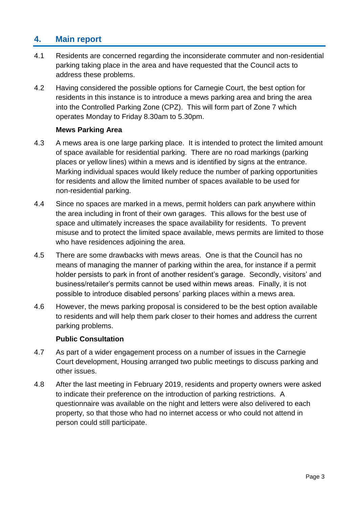## **4. Main report**

- 4.1 Residents are concerned regarding the inconsiderate commuter and non-residential parking taking place in the area and have requested that the Council acts to address these problems.
- 4.2 Having considered the possible options for Carnegie Court, the best option for residents in this instance is to introduce a mews parking area and bring the area into the Controlled Parking Zone (CPZ). This will form part of Zone 7 which operates Monday to Friday 8.30am to 5.30pm.

#### **Mews Parking Area**

- 4.3 A mews area is one large parking place. It is intended to protect the limited amount of space available for residential parking. There are no road markings (parking places or yellow lines) within a mews and is identified by signs at the entrance. Marking individual spaces would likely reduce the number of parking opportunities for residents and allow the limited number of spaces available to be used for non-residential parking.
- 4.4 Since no spaces are marked in a mews, permit holders can park anywhere within the area including in front of their own garages. This allows for the best use of space and ultimately increases the space availability for residents. To prevent misuse and to protect the limited space available, mews permits are limited to those who have residences adjoining the area.
- 4.5 There are some drawbacks with mews areas. One is that the Council has no means of managing the manner of parking within the area, for instance if a permit holder persists to park in front of another resident's garage. Secondly, visitors' and business/retailer's permits cannot be used within mews areas. Finally, it is not possible to introduce disabled persons' parking places within a mews area.
- 4.6 However, the mews parking proposal is considered to be the best option available to residents and will help them park closer to their homes and address the current parking problems.

#### **Public Consultation**

- 4.7 As part of a wider engagement process on a number of issues in the Carnegie Court development, Housing arranged two public meetings to discuss parking and other issues.
- 4.8 After the last meeting in February 2019, residents and property owners were asked to indicate their preference on the introduction of parking restrictions. A questionnaire was available on the night and letters were also delivered to each property, so that those who had no internet access or who could not attend in person could still participate.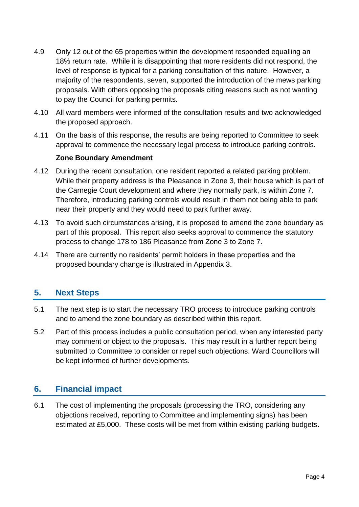- 4.9 Only 12 out of the 65 properties within the development responded equalling an 18% return rate. While it is disappointing that more residents did not respond, the level of response is typical for a parking consultation of this nature. However, a majority of the respondents, seven, supported the introduction of the mews parking proposals. With others opposing the proposals citing reasons such as not wanting to pay the Council for parking permits.
- 4.10 All ward members were informed of the consultation results and two acknowledged the proposed approach.
- 4.11 On the basis of this response, the results are being reported to Committee to seek approval to commence the necessary legal process to introduce parking controls.

#### **Zone Boundary Amendment**

- 4.12 During the recent consultation, one resident reported a related parking problem. While their property address is the Pleasance in Zone 3, their house which is part of the Carnegie Court development and where they normally park, is within Zone 7. Therefore, introducing parking controls would result in them not being able to park near their property and they would need to park further away.
- 4.13 To avoid such circumstances arising, it is proposed to amend the zone boundary as part of this proposal. This report also seeks approval to commence the statutory process to change 178 to 186 Pleasance from Zone 3 to Zone 7.
- 4.14 There are currently no residents' permit holders in these properties and the proposed boundary change is illustrated in Appendix 3.

## **5. Next Steps**

- 5.1 The next step is to start the necessary TRO process to introduce parking controls and to amend the zone boundary as described within this report.
- 5.2 Part of this process includes a public consultation period, when any interested party may comment or object to the proposals. This may result in a further report being submitted to Committee to consider or repel such objections. Ward Councillors will be kept informed of further developments.

## **6. Financial impact**

6.1 The cost of implementing the proposals (processing the TRO, considering any objections received, reporting to Committee and implementing signs) has been estimated at £5,000. These costs will be met from within existing parking budgets.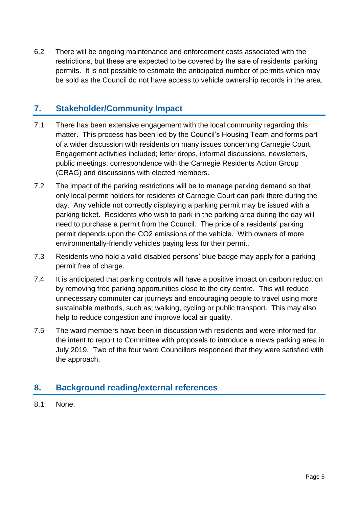6.2 There will be ongoing maintenance and enforcement costs associated with the restrictions, but these are expected to be covered by the sale of residents' parking permits. It is not possible to estimate the anticipated number of permits which may be sold as the Council do not have access to vehicle ownership records in the area.

## **7. Stakeholder/Community Impact**

- 7.1 There has been extensive engagement with the local community regarding this matter. This process has been led by the Council's Housing Team and forms part of a wider discussion with residents on many issues concerning Carnegie Court. Engagement activities included; letter drops, informal discussions, newsletters, public meetings, correspondence with the Carnegie Residents Action Group (CRAG) and discussions with elected members.
- 7.2 The impact of the parking restrictions will be to manage parking demand so that only local permit holders for residents of Carnegie Court can park there during the day. Any vehicle not correctly displaying a parking permit may be issued with a parking ticket. Residents who wish to park in the parking area during the day will need to purchase a permit from the Council. The price of a residents' parking permit depends upon the CO2 emissions of the vehicle. With owners of more environmentally-friendly vehicles paying less for their permit.
- 7.3 Residents who hold a valid disabled persons' blue badge may apply for a parking permit free of charge.
- 7.4 It is anticipated that parking controls will have a positive impact on carbon reduction by removing free parking opportunities close to the city centre. This will reduce unnecessary commuter car journeys and encouraging people to travel using more sustainable methods, such as; walking, cycling or public transport. This may also help to reduce congestion and improve local air quality.
- 7.5 The ward members have been in discussion with residents and were informed for the intent to report to Committee with proposals to introduce a mews parking area in July 2019. Two of the four ward Councillors responded that they were satisfied with the approach.

## **8. Background reading/external references**

8.1 None.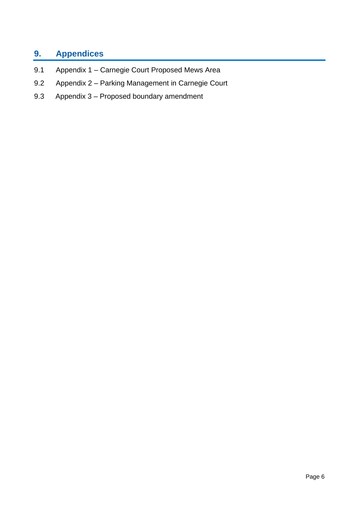## **9. Appendices**

- 9.1 Appendix 1 Carnegie Court Proposed Mews Area
- 9.2 Appendix 2 Parking Management in Carnegie Court
- 9.3 Appendix 3 Proposed boundary amendment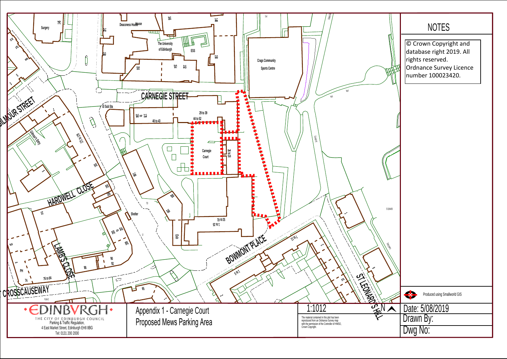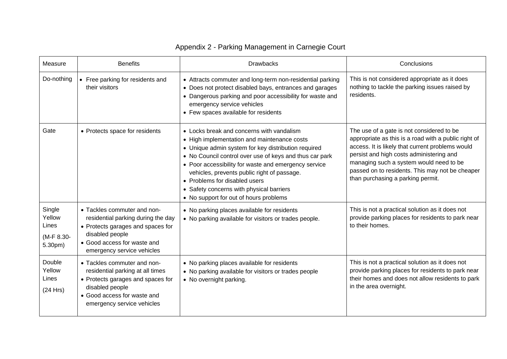## Appendix 2 - Parking Management in Carnegie Court

| Measure                                            | <b>Benefits</b>                                                                                                                                                                        | <b>Drawbacks</b>                                                                                                                                                                                                                                                                                                                                                                                                                         | Conclusions                                                                                                                                                                                                                                                                                                                          |
|----------------------------------------------------|----------------------------------------------------------------------------------------------------------------------------------------------------------------------------------------|------------------------------------------------------------------------------------------------------------------------------------------------------------------------------------------------------------------------------------------------------------------------------------------------------------------------------------------------------------------------------------------------------------------------------------------|--------------------------------------------------------------------------------------------------------------------------------------------------------------------------------------------------------------------------------------------------------------------------------------------------------------------------------------|
| Do-nothing                                         | • Free parking for residents and<br>their visitors                                                                                                                                     | • Attracts commuter and long-term non-residential parking<br>• Does not protect disabled bays, entrances and garages<br>• Dangerous parking and poor accessibility for waste and<br>emergency service vehicles<br>• Few spaces available for residents                                                                                                                                                                                   | This is not considered appropriate as it does<br>nothing to tackle the parking issues raised by<br>residents.                                                                                                                                                                                                                        |
| Gate                                               | • Protects space for residents                                                                                                                                                         | • Locks break and concerns with vandalism<br>• High implementation and maintenance costs<br>• Unique admin system for key distribution required<br>• No Council control over use of keys and thus car park<br>• Poor accessibility for waste and emergency service<br>vehicles, prevents public right of passage.<br>• Problems for disabled users<br>• Safety concerns with physical barriers<br>• No support for out of hours problems | The use of a gate is not considered to be<br>appropriate as this is a road with a public right of<br>access. It is likely that current problems would<br>persist and high costs administering and<br>managing such a system would need to be<br>passed on to residents. This may not be cheaper<br>than purchasing a parking permit. |
| Single<br>Yellow<br>Lines<br>(M-F 8.30-<br>5.30pm) | • Tackles commuter and non-<br>residential parking during the day<br>• Protects garages and spaces for<br>disabled people<br>• Good access for waste and<br>emergency service vehicles | • No parking places available for residents<br>• No parking available for visitors or trades people.                                                                                                                                                                                                                                                                                                                                     | This is not a practical solution as it does not<br>provide parking places for residents to park near<br>to their homes.                                                                                                                                                                                                              |
| Double<br>Yellow<br>Lines<br>(24 Hrs)              | • Tackles commuter and non-<br>residential parking at all times<br>• Protects garages and spaces for<br>disabled people<br>• Good access for waste and<br>emergency service vehicles   | • No parking places available for residents<br>• No parking available for visitors or trades people<br>• No overnight parking.                                                                                                                                                                                                                                                                                                           | This is not a practical solution as it does not<br>provide parking places for residents to park near<br>their homes and does not allow residents to park<br>in the area overnight.                                                                                                                                                   |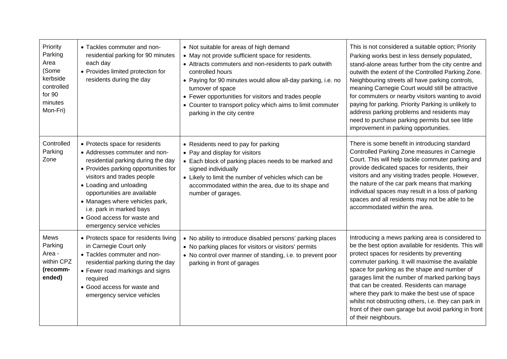| Priority<br>Parking<br>Area<br>(Some<br>kerbside<br>controlled<br>for 90<br>minutes<br>Mon-Fri) | • Tackles commuter and non-<br>residential parking for 90 minutes<br>each day<br>• Provides limited protection for<br>residents during the day                                                                                                                                                                                                                   | • Not suitable for areas of high demand<br>• May not provide sufficient space for residents.<br>• Attracts commuters and non-residents to park outwith<br>controlled hours<br>• Paying for 90 minutes would allow all-day parking, i.e. no<br>turnover of space<br>• Fewer opportunities for visitors and trades people<br>• Counter to transport policy which aims to limit commuter<br>parking in the city centre | This is not considered a suitable option; Priority<br>Parking works best in less densely populated,<br>stand-alone areas further from the city centre and<br>outwith the extent of the Controlled Parking Zone.<br>Neighbouring streets all have parking controls,<br>meaning Carnegie Court would still be attractive<br>for commuters or nearby visitors wanting to avoid<br>paying for parking. Priority Parking is unlikely to<br>address parking problems and residents may<br>need to purchase parking permits but see little<br>improvement in parking opportunities. |
|-------------------------------------------------------------------------------------------------|------------------------------------------------------------------------------------------------------------------------------------------------------------------------------------------------------------------------------------------------------------------------------------------------------------------------------------------------------------------|---------------------------------------------------------------------------------------------------------------------------------------------------------------------------------------------------------------------------------------------------------------------------------------------------------------------------------------------------------------------------------------------------------------------|------------------------------------------------------------------------------------------------------------------------------------------------------------------------------------------------------------------------------------------------------------------------------------------------------------------------------------------------------------------------------------------------------------------------------------------------------------------------------------------------------------------------------------------------------------------------------|
| Controlled<br>Parking<br>Zone                                                                   | • Protects space for residents<br>• Addresses commuter and non-<br>residential parking during the day<br>• Provides parking opportunities for<br>visitors and trades people<br>• Loading and unloading<br>opportunities are available<br>• Manages where vehicles park,<br>i.e. park in marked bays<br>• Good access for waste and<br>emergency service vehicles | • Residents need to pay for parking<br>• Pay and display for visitors<br>• Each block of parking places needs to be marked and<br>signed individually<br>• Likely to limit the number of vehicles which can be<br>accommodated within the area, due to its shape and<br>number of garages.                                                                                                                          | There is some benefit in introducing standard<br>Controlled Parking Zone measures in Carnegie<br>Court. This will help tackle commuter parking and<br>provide dedicated spaces for residents, their<br>visitors and any visiting trades people. However,<br>the nature of the car park means that marking<br>individual spaces may result in a loss of parking<br>spaces and all residents may not be able to be<br>accommodated within the area.                                                                                                                            |
| Mews<br>Parking<br>Area -<br>within CPZ<br>(recomm-<br>ended)                                   | • Protects space for residents living<br>in Carnegie Court only<br>• Tackles commuter and non-<br>residential parking during the day<br>• Fewer road markings and signs<br>required<br>• Good access for waste and<br>emergency service vehicles                                                                                                                 | • No ability to introduce disabled persons' parking places<br>• No parking places for visitors or visitors' permits<br>• No control over manner of standing, i.e. to prevent poor<br>parking in front of garages                                                                                                                                                                                                    | Introducing a mews parking area is considered to<br>be the best option available for residents. This will<br>protect spaces for residents by preventing<br>commuter parking. It will maximise the available<br>space for parking as the shape and number of<br>garages limit the number of marked parking bays<br>that can be created. Residents can manage<br>where they park to make the best use of space<br>whilst not obstructing others, i.e. they can park in<br>front of their own garage but avoid parking in front<br>of their neighbours.                         |